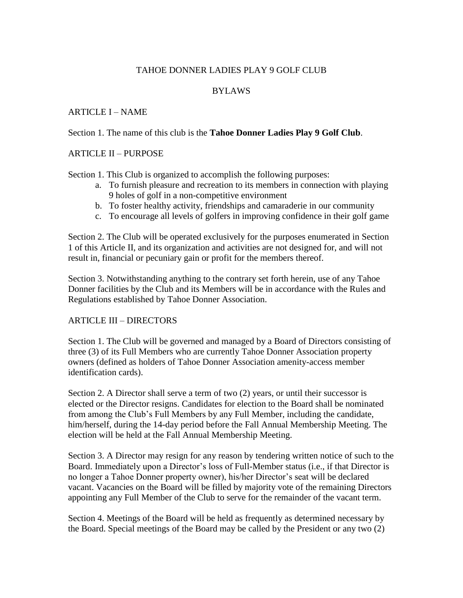# TAHOE DONNER LADIES PLAY 9 GOLF CLUB

## BYLAWS

### ARTICLE I – NAME

### Section 1. The name of this club is the **Tahoe Donner Ladies Play 9 Golf Club**.

### ARTICLE II – PURPOSE

Section 1. This Club is organized to accomplish the following purposes:

- a. To furnish pleasure and recreation to its members in connection with playing 9 holes of golf in a non-competitive environment
- b. To foster healthy activity, friendships and camaraderie in our community
- c. To encourage all levels of golfers in improving confidence in their golf game

Section 2. The Club will be operated exclusively for the purposes enumerated in Section 1 of this Article II, and its organization and activities are not designed for, and will not result in, financial or pecuniary gain or profit for the members thereof.

Section 3. Notwithstanding anything to the contrary set forth herein, use of any Tahoe Donner facilities by the Club and its Members will be in accordance with the Rules and Regulations established by Tahoe Donner Association.

### ARTICLE III – DIRECTORS

Section 1. The Club will be governed and managed by a Board of Directors consisting of three (3) of its Full Members who are currently Tahoe Donner Association property owners (defined as holders of Tahoe Donner Association amenity-access member identification cards).

Section 2. A Director shall serve a term of two (2) years, or until their successor is elected or the Director resigns. Candidates for election to the Board shall be nominated from among the Club's Full Members by any Full Member, including the candidate, him/herself, during the 14-day period before the Fall Annual Membership Meeting. The election will be held at the Fall Annual Membership Meeting.

Section 3. A Director may resign for any reason by tendering written notice of such to the Board. Immediately upon a Director's loss of Full-Member status (i.e., if that Director is no longer a Tahoe Donner property owner), his/her Director's seat will be declared vacant. Vacancies on the Board will be filled by majority vote of the remaining Directors appointing any Full Member of the Club to serve for the remainder of the vacant term.

Section 4. Meetings of the Board will be held as frequently as determined necessary by the Board. Special meetings of the Board may be called by the President or any two (2)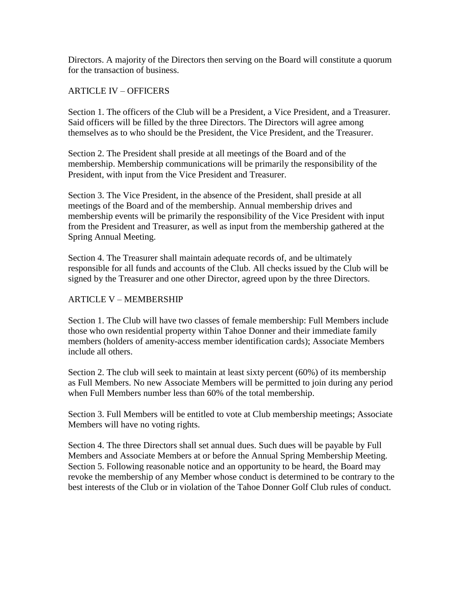Directors. A majority of the Directors then serving on the Board will constitute a quorum for the transaction of business.

## ARTICLE IV – OFFICERS

Section 1. The officers of the Club will be a President, a Vice President, and a Treasurer. Said officers will be filled by the three Directors. The Directors will agree among themselves as to who should be the President, the Vice President, and the Treasurer.

Section 2. The President shall preside at all meetings of the Board and of the membership. Membership communications will be primarily the responsibility of the President, with input from the Vice President and Treasurer.

Section 3. The Vice President, in the absence of the President, shall preside at all meetings of the Board and of the membership. Annual membership drives and membership events will be primarily the responsibility of the Vice President with input from the President and Treasurer, as well as input from the membership gathered at the Spring Annual Meeting.

Section 4. The Treasurer shall maintain adequate records of, and be ultimately responsible for all funds and accounts of the Club. All checks issued by the Club will be signed by the Treasurer and one other Director, agreed upon by the three Directors.

# ARTICLE V – MEMBERSHIP

Section 1. The Club will have two classes of female membership: Full Members include those who own residential property within Tahoe Donner and their immediate family members (holders of amenity-access member identification cards); Associate Members include all others.

Section 2. The club will seek to maintain at least sixty percent (60%) of its membership as Full Members. No new Associate Members will be permitted to join during any period when Full Members number less than 60% of the total membership.

Section 3. Full Members will be entitled to vote at Club membership meetings; Associate Members will have no voting rights.

Section 4. The three Directors shall set annual dues. Such dues will be payable by Full Members and Associate Members at or before the Annual Spring Membership Meeting. Section 5. Following reasonable notice and an opportunity to be heard, the Board may revoke the membership of any Member whose conduct is determined to be contrary to the best interests of the Club or in violation of the Tahoe Donner Golf Club rules of conduct.